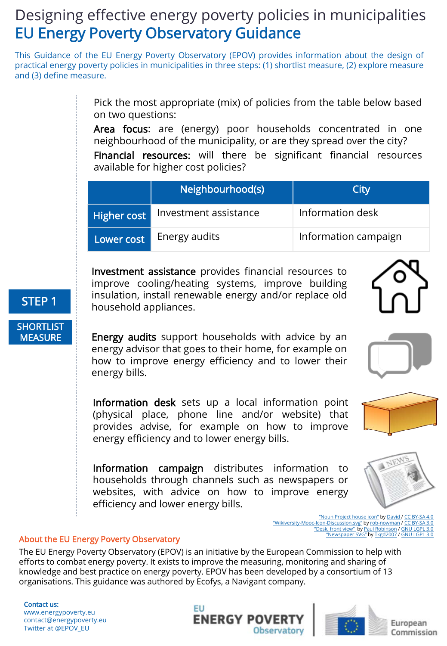# Designing effective energy poverty policies in municipalities EU Energy Poverty Observatory Guidance

This Guidance of the EU Energy Poverty Observatory (EPOV) provides information about the design of practical energy poverty policies in municipalities in three steps: (1) shortlist measure, (2) explore measure and (3) define measure.

> Pick the most appropriate (mix) of policies from the table below based on two questions:

> Area focus: are (energy) poor households concentrated in one neighbourhood of the municipality, or are they spread over the city?

> Financial resources: will there be significant financial resources available for higher cost policies?

|                    | Neighbourhood(s)      | City                 |
|--------------------|-----------------------|----------------------|
| <b>Higher cost</b> | Investment assistance | Information desk     |
| Lower cost         | Energy audits         | Information campaign |

Investment assistance provides financial resources to improve cooling/heating systems, improve building insulation, install renewable energy and/or replace old household appliances.

Energy audits support households with advice by an energy advisor that goes to their home, for example on how to improve energy efficiency and to lower their energy bills.

Information desk sets up a local information point (physical place, phone line and/or website) that provides advise, for example on how to improve energy efficiency and to lower energy bills.

Information campaign distributes information to households through channels such as newspapers or websites, with advice on how to improve energy efficiency and lower energy bills.

> ["Noun Project house icon"](https://commons.wikimedia.org/wiki/File:Noun_Project_house_icon_475319_cc.svg?uselang=en-gb) by [David](https://thenounproject.com/kaxgyatso/) / [CC BY-SA 4.0](https://creativecommons.org/licenses/by-sa/4.0/deed.en) ["Wikiversity-Mooc-Icon-Discussion.svg"](https://commons.wikimedia.org/wiki/File:Wikiversity-Mooc-Icon-Discussion.svg?uselang=en-gb) by [rob-nowman](https://commons.wikimedia.org/wiki/User:Rob-nowman) / [CC BY-SA 3.0](https://creativecommons.org/licenses/by-sa/3.0/deed.en) ["Desk, front view"](https://commons.wikimedia.org/wiki/File:Nuvola_desk_2.svg) by [Paul Robinson](https://commons.wikimedia.org/wiki/User:Rfc1394) / [GNU LGPL 3.0](https://www.gnu.org/licenses/lgpl.html) ["Newspaper SVG"](https://commons.wikimedia.org/wiki/File:Newspaper_Cover2.svg) by [Tkgd2007](https://commons.wikimedia.org/wiki/User:Tkgd2007) / [GNU LGPL 3.0](https://www.gnu.org/licenses/lgpl.html)

### About the EU Energy Poverty Observatory

The EU Energy Poverty Observatory (EPOV) is an initiative by the European Commission to help with efforts to combat energy poverty. It exists to improve the measuring, monitoring and sharing of knowledge and best practice on energy poverty. EPOV has been developed by a consortium of 13 organisations. This guidance was authored by Ecofys, a Navigant company.

Contact us: www.energypoverty.eu contact@energypoverty.eu Twitter at @EPOV\_EU





European Commission



**SHORTLIST MEASURE** 





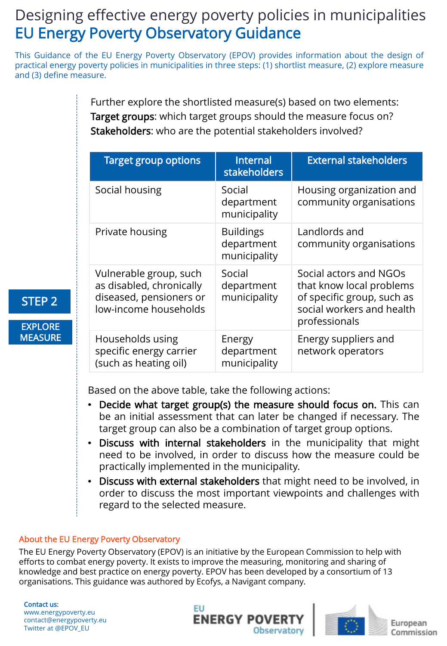# Designing effective energy poverty policies in municipalities EU Energy Poverty Observatory Guidance

This Guidance of the EU Energy Poverty Observatory (EPOV) provides information about the design of practical energy poverty policies in municipalities in three steps: (1) shortlist measure, (2) explore measure and (3) define measure.

> Further explore the shortlisted measure(s) based on two elements: Target groups: which target groups should the measure focus on? Stakeholders: who are the potential stakeholders involved?

| <b>Target group options</b>                                                                            | Internal<br>stakeholders                       | <b>External stakeholders</b>                                                                                                   |
|--------------------------------------------------------------------------------------------------------|------------------------------------------------|--------------------------------------------------------------------------------------------------------------------------------|
| Social housing                                                                                         | Social<br>department<br>municipality           | Housing organization and<br>community organisations                                                                            |
| Private housing                                                                                        | <b>Buildings</b><br>department<br>municipality | Landlords and<br>community organisations                                                                                       |
| Vulnerable group, such<br>as disabled, chronically<br>diseased, pensioners or<br>low-income households | Social<br>department<br>municipality           | Social actors and NGOs<br>that know local problems<br>of specific group, such as<br>social workers and health<br>professionals |
| Households using<br>specific energy carrier<br>(such as heating oil)                                   | Energy<br>department<br>municipality           | Energy suppliers and<br>network operators                                                                                      |

Based on the above table, take the following actions:

- Decide what target group(s) the measure should focus on. This can be an initial assessment that can later be changed if necessary. The target group can also be a combination of target group options.
- Discuss with internal stakeholders in the municipality that might need to be involved, in order to discuss how the measure could be practically implemented in the municipality.
- Discuss with external stakeholders that might need to be involved, in order to discuss the most important viewpoints and challenges with regard to the selected measure.

### About the EU Energy Poverty Observatory

The EU Energy Poverty Observatory (EPOV) is an initiative by the European Commission to help with efforts to combat energy poverty. It exists to improve the measuring, monitoring and sharing of knowledge and best practice on energy poverty. EPOV has been developed by a consortium of 13 organisations. This guidance was authored by Ecofys, a Navigant company.

Contact us: www.energypoverty.eu contact@energypoverty.eu Twitter at @EPOV\_EU

STEP 2

EXPLORE **MEASURE** 





European Commission